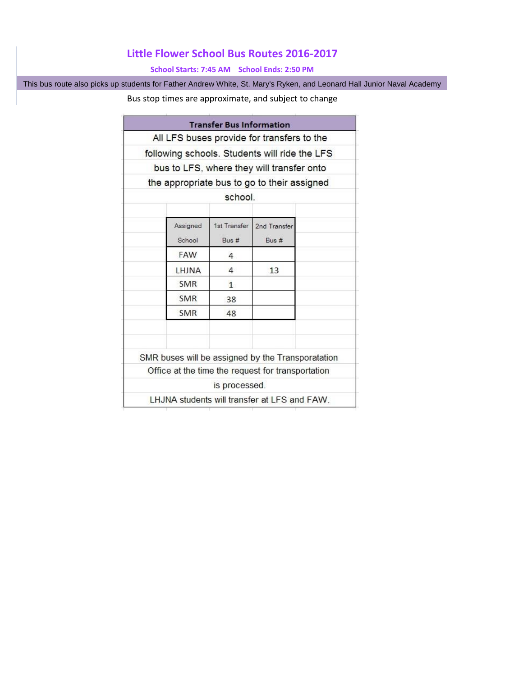## **Little Flower School Bus Routes 2016-2017**

## **School Starts: 7:45 AM School Ends: 2:50 PM**

This bus route also picks up students for Father Andrew White, St. Mary's Ryken, and Leonard Hall Junior Naval Academy

## Bus stop times are approximate, and subject to change

|            |               | All LFS buses provide for transfers to the        |  |
|------------|---------------|---------------------------------------------------|--|
|            |               | following schools. Students will ride the LFS     |  |
|            |               |                                                   |  |
|            |               | bus to LFS, where they will transfer onto         |  |
|            |               | the appropriate bus to go to their assigned       |  |
|            | school.       |                                                   |  |
| Assigned   | 1st Transfer  | 2nd Transfer                                      |  |
| School     | $Bus \#$      | Bus #                                             |  |
| FAW        | 4             |                                                   |  |
| LHJNA      | 4             | 13                                                |  |
| <b>SMR</b> | $\mathbf{1}$  |                                                   |  |
| <b>SMR</b> | 38            |                                                   |  |
| <b>SMR</b> | 48            |                                                   |  |
|            |               | SMR buses will be assigned by the Transporatation |  |
|            |               | Office at the time the request for transportation |  |
|            | is processed. |                                                   |  |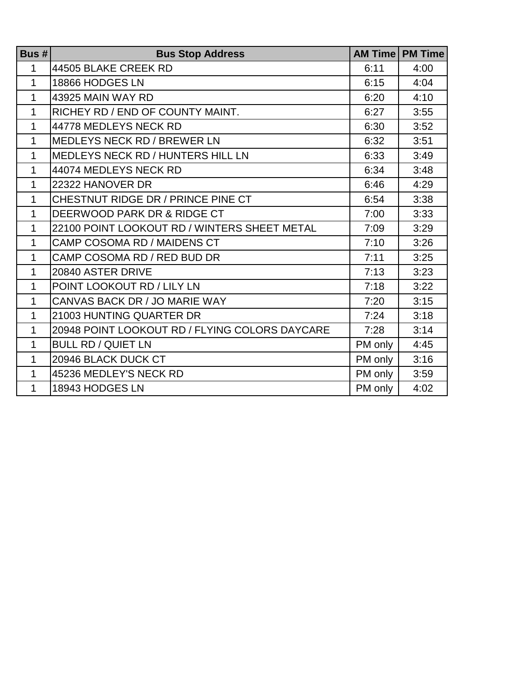| Bus $# $     | <b>Bus Stop Address</b>                        |         | <b>AM Time   PM Time</b> |
|--------------|------------------------------------------------|---------|--------------------------|
| 1            | 44505 BLAKE CREEK RD                           | 6:11    | 4:00                     |
| $\mathbf{1}$ | 18866 HODGES LN                                | 6:15    | 4:04                     |
| $\mathbf{1}$ | 43925 MAIN WAY RD                              | 6:20    | 4:10                     |
| $\mathbf{1}$ | RICHEY RD / END OF COUNTY MAINT.               | 6:27    | 3:55                     |
| $\mathbf{1}$ | 44778 MEDLEYS NECK RD                          | 6:30    | 3:52                     |
| $\mathbf{1}$ | <b>MEDLEYS NECK RD / BREWER LN</b>             | 6:32    | 3:51                     |
| $\mathbf{1}$ | MEDLEYS NECK RD / HUNTERS HILL LN              | 6:33    | 3:49                     |
| $\mathbf{1}$ | 44074 MEDLEYS NECK RD                          | 6:34    | 3:48                     |
| 1            | 22322 HANOVER DR                               | 6:46    | 4:29                     |
| $\mathbf{1}$ | CHESTNUT RIDGE DR / PRINCE PINE CT             | 6:54    | 3:38                     |
| $\mathbf{1}$ | DEERWOOD PARK DR & RIDGE CT                    | 7:00    | 3:33                     |
| $\mathbf{1}$ | 22100 POINT LOOKOUT RD / WINTERS SHEET METAL   | 7:09    | 3:29                     |
| $\mathbf{1}$ | CAMP COSOMA RD / MAIDENS CT                    | 7:10    | 3:26                     |
| 1            | CAMP COSOMA RD / RED BUD DR                    | 7:11    | 3:25                     |
| $\mathbf 1$  | 20840 ASTER DRIVE                              | 7:13    | 3:23                     |
| $\mathbf{1}$ | POINT LOOKOUT RD / LILY LN                     | 7:18    | 3:22                     |
| $\mathbf{1}$ | CANVAS BACK DR / JO MARIE WAY                  | 7:20    | 3:15                     |
| $\mathbf{1}$ | 21003 HUNTING QUARTER DR                       | 7:24    | 3:18                     |
| $\mathbf{1}$ | 20948 POINT LOOKOUT RD / FLYING COLORS DAYCARE | 7:28    | 3:14                     |
| $\mathbf{1}$ | <b>BULL RD / QUIET LN</b>                      | PM only | 4:45                     |
| 1            | 20946 BLACK DUCK CT                            | PM only | 3:16                     |
| $\mathbf{1}$ | 45236 MEDLEY'S NECK RD                         | PM only | 3:59                     |
| $\mathbf{1}$ | 18943 HODGES LN                                | PM only | 4:02                     |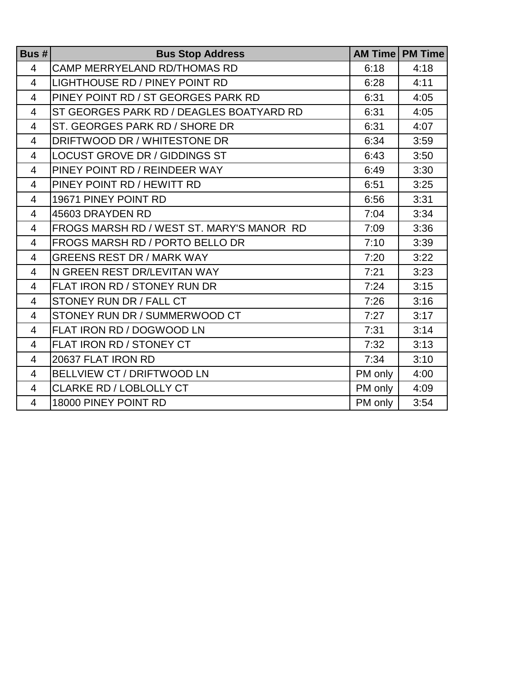| Bus $# $       | <b>Bus Stop Address</b>                   |         | <b>AM Time   PM Time</b> |
|----------------|-------------------------------------------|---------|--------------------------|
| 4              | <b>CAMP MERRYELAND RD/THOMAS RD</b>       | 6:18    | 4:18                     |
| $\overline{4}$ | <b>LIGHTHOUSE RD / PINEY POINT RD</b>     | 6:28    | 4:11                     |
| 4              | PINEY POINT RD / ST GEORGES PARK RD       | 6:31    | 4:05                     |
| 4              | ST GEORGES PARK RD / DEAGLES BOATYARD RD  | 6:31    | 4:05                     |
| 4              | ST. GEORGES PARK RD / SHORE DR            | 6:31    | 4:07                     |
| 4              | DRIFTWOOD DR / WHITESTONE DR              | 6:34    | 3:59                     |
| 4              | <b>LOCUST GROVE DR / GIDDINGS ST</b>      | 6:43    | 3:50                     |
| 4              | PINEY POINT RD / REINDEER WAY             | 6:49    | 3:30                     |
| 4              | PINEY POINT RD / HEWITT RD                | 6:51    | 3:25                     |
| 4              | 19671 PINEY POINT RD                      | 6:56    | 3:31                     |
| 4              | 45603 DRAYDEN RD                          | 7:04    | 3:34                     |
| 4              | FROGS MARSH RD / WEST ST. MARY'S MANOR RD | 7:09    | 3:36                     |
| 4              | FROGS MARSH RD / PORTO BELLO DR           | 7:10    | 3:39                     |
| 4              | <b>GREENS REST DR / MARK WAY</b>          | 7:20    | 3:22                     |
| 4              | N GREEN REST DR/LEVITAN WAY               | 7:21    | 3:23                     |
| 4              | FLAT IRON RD / STONEY RUN DR              | 7:24    | 3:15                     |
| 4              | STONEY RUN DR / FALL CT                   | 7:26    | 3:16                     |
| 4              | STONEY RUN DR / SUMMERWOOD CT             | 7:27    | 3:17                     |
| $\overline{4}$ | FLAT IRON RD / DOGWOOD LN                 | 7:31    | 3:14                     |
| 4              | FLAT IRON RD / STONEY CT                  | 7:32    | 3:13                     |
| 4              | 20637 FLAT IRON RD                        | 7:34    | 3:10                     |
| 4              | <b>BELLVIEW CT / DRIFTWOOD LN</b>         | PM only | 4:00                     |
| 4              | <b>CLARKE RD / LOBLOLLY CT</b>            | PM only | 4:09                     |
| 4              | 18000 PINEY POINT RD                      | PM only | 3:54                     |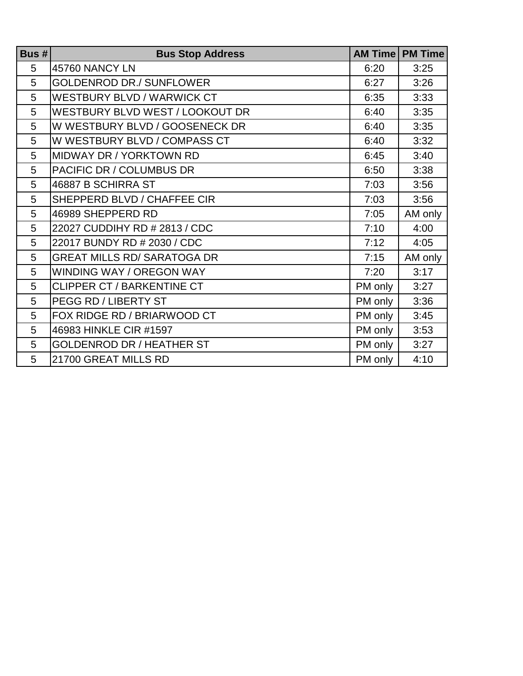| Bus $# $ | <b>Bus Stop Address</b>            |         | <b>AM Time   PM Time</b> |
|----------|------------------------------------|---------|--------------------------|
| 5        | 45760 NANCY LN                     | 6:20    | 3:25                     |
| 5        | <b>GOLDENROD DR./ SUNFLOWER</b>    | 6:27    | 3:26                     |
| 5        | WESTBURY BLVD / WARWICK CT         | 6:35    | 3:33                     |
| 5        | WESTBURY BLVD WEST / LOOKOUT DR    | 6:40    | 3:35                     |
| 5        | W WESTBURY BLVD / GOOSENECK DR     | 6:40    | 3:35                     |
| 5        | W WESTBURY BLVD / COMPASS CT       | 6:40    | 3:32                     |
| 5        | MIDWAY DR / YORKTOWN RD            | 6:45    | 3:40                     |
| 5        | PACIFIC DR / COLUMBUS DR           | 6:50    | 3:38                     |
| 5        | 46887 B SCHIRRA ST                 | 7:03    | 3:56                     |
| 5        | SHEPPERD BLVD / CHAFFEE CIR        | 7:03    | 3:56                     |
| 5        | 46989 SHEPPERD RD                  | 7:05    | AM only                  |
| 5        | 22027 CUDDIHY RD # 2813 / CDC      | 7:10    | 4:00                     |
| 5        | 22017 BUNDY RD # 2030 / CDC        | 7:12    | 4:05                     |
| 5        | <b>GREAT MILLS RD/ SARATOGA DR</b> | 7:15    | AM only                  |
| 5        | WINDING WAY / OREGON WAY           | 7:20    | 3:17                     |
| 5        | <b>CLIPPER CT / BARKENTINE CT</b>  | PM only | 3:27                     |
| 5        | PEGG RD / LIBERTY ST               | PM only | 3:36                     |
| 5        | FOX RIDGE RD / BRIARWOOD CT        | PM only | 3:45                     |
| 5        | 46983 HINKLE CIR #1597             | PM only | 3:53                     |
| 5        | <b>GOLDENROD DR / HEATHER ST</b>   | PM only | 3:27                     |
| 5        | 21700 GREAT MILLS RD               | PM only | 4:10                     |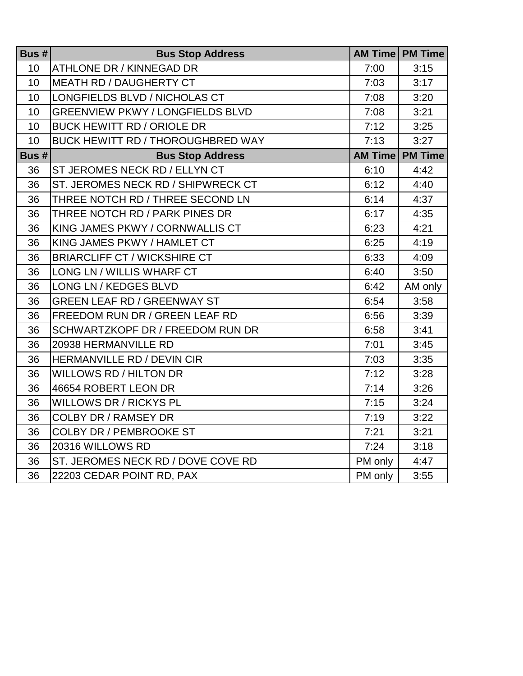| Bus $# $        | <b>Bus Stop Address</b>                  |         | <b>AM Time   PM Time</b> |
|-----------------|------------------------------------------|---------|--------------------------|
| 10 <sup>1</sup> | <b>ATHLONE DR / KINNEGAD DR</b>          | 7:00    | 3:15                     |
| 10              | <b>MEATH RD / DAUGHERTY CT</b>           | 7:03    | 3:17                     |
| 10              | LONGFIELDS BLVD / NICHOLAS CT            | 7:08    | 3:20                     |
| 10              | <b>GREENVIEW PKWY / LONGFIELDS BLVD</b>  | 7:08    | 3:21                     |
| 10              | <b>BUCK HEWITT RD / ORIOLE DR</b>        | 7:12    | 3:25                     |
| 10              | <b>BUCK HEWITT RD / THOROUGHBRED WAY</b> | 7:13    | 3:27                     |
| Bus $# $        | <b>Bus Stop Address</b>                  |         | <b>AM Time   PM Time</b> |
| 36              | ST JEROMES NECK RD / ELLYN CT            | 6:10    | 4:42                     |
| 36              | ST. JEROMES NECK RD / SHIPWRECK CT       | 6:12    | 4:40                     |
| 36              | THREE NOTCH RD / THREE SECOND LN         | 6:14    | 4:37                     |
| 36              | THREE NOTCH RD / PARK PINES DR           | 6:17    | 4:35                     |
| 36              | KING JAMES PKWY / CORNWALLIS CT          | 6:23    | 4:21                     |
| 36              | KING JAMES PKWY / HAMLET CT              | 6:25    | 4:19                     |
| 36              | <b>BRIARCLIFF CT / WICKSHIRE CT</b>      | 6:33    | 4:09                     |
| 36              | LONG LN / WILLIS WHARF CT                | 6:40    | 3:50                     |
| 36              | LONG LN / KEDGES BLVD                    | 6:42    | AM only                  |
| 36              | <b>GREEN LEAF RD / GREENWAY ST</b>       | 6:54    | 3:58                     |
| 36              | FREEDOM RUN DR / GREEN LEAF RD           | 6:56    | 3:39                     |
| 36              | <b>SCHWARTZKOPF DR / FREEDOM RUN DR</b>  | 6:58    | 3:41                     |
| 36              | 20938 HERMANVILLE RD                     | 7:01    | 3:45                     |
| 36              | HERMANVILLE RD / DEVIN CIR               | 7:03    | 3:35                     |
| 36              | <b>WILLOWS RD / HILTON DR</b>            | 7:12    | 3:28                     |
| 36              | 46654 ROBERT LEON DR                     | 7:14    | 3:26                     |
| 36              | <b>WILLOWS DR / RICKYS PL</b>            | 7:15    | 3:24                     |
| 36              | <b>COLBY DR / RAMSEY DR</b>              | 7:19    | 3:22                     |
| 36              | <b>COLBY DR / PEMBROOKE ST</b>           | 7:21    | 3:21                     |
| 36              | 20316 WILLOWS RD                         | 7:24    | 3:18                     |
| 36              | ST. JEROMES NECK RD / DOVE COVE RD       | PM only | 4:47                     |
| 36              | 22203 CEDAR POINT RD, PAX                | PM only | 3:55                     |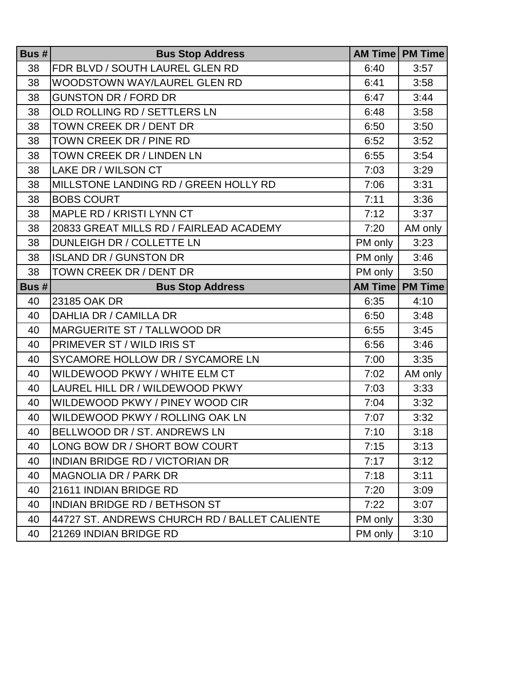| Bus $# $ | <b>Bus Stop Address</b>                       |                | <b>AM Time   PM Time</b> |
|----------|-----------------------------------------------|----------------|--------------------------|
| 38       | FDR BLVD / SOUTH LAUREL GLEN RD               | 6:40           | 3:57                     |
| 38       | WOODSTOWN WAY/LAUREL GLEN RD                  | 6:41           | 3:58                     |
| 38       | <b>GUNSTON DR / FORD DR</b>                   | 6:47           | 3:44                     |
| 38       | OLD ROLLING RD / SETTLERS LN                  | 6:48           | 3:58                     |
| 38       | TOWN CREEK DR / DENT DR                       | 6:50           | 3:50                     |
| 38       | TOWN CREEK DR / PINE RD                       | 6:52           | 3:52                     |
| 38       | <b>TOWN CREEK DR / LINDEN LN</b>              | 6:55           | 3:54                     |
| 38       | <b>LAKE DR / WILSON CT</b>                    | 7:03           | 3:29                     |
| 38       | MILLSTONE LANDING RD / GREEN HOLLY RD         | 7:06           | 3:31                     |
| 38       | <b>BOBS COURT</b>                             | 7:11           | 3:36                     |
| 38       | <b>MAPLE RD / KRISTI LYNN CT</b>              | 7:12           | 3:37                     |
| 38       | 20833 GREAT MILLS RD / FAIRLEAD ACADEMY       | 7:20           | AM only                  |
| 38       | DUNLEIGH DR / COLLETTE LN                     | PM only        | 3:23                     |
| 38       | <b>ISLAND DR / GUNSTON DR</b>                 | PM only        | 3:46                     |
| 38       | TOWN CREEK DR / DENT DR                       | PM only        | 3:50                     |
| Bus $# $ | <b>Bus Stop Address</b>                       | <b>AM Time</b> | <b>PM Time</b>           |
| 40       | 23185 OAK DR                                  | 6:35           | 4:10                     |
| 40       | DAHLIA DR / CAMILLA DR                        | 6:50           | 3:48                     |
| 40       | MARGUERITE ST / TALLWOOD DR                   | 6:55           | 3:45                     |
| 40       | PRIMEVER ST / WILD IRIS ST                    | 6:56           | 3:46                     |
| 40       | SYCAMORE HOLLOW DR / SYCAMORE LN              | 7:00           | 3:35                     |
| 40       | WILDEWOOD PKWY / WHITE ELM CT                 | 7:02           | AM only                  |
| 40       | LAUREL HILL DR / WILDEWOOD PKWY               | 7:03           | 3:33                     |
| 40       | WILDEWOOD PKWY / PINEY WOOD CIR               | 7:04           | 3:32                     |
| 40       | WILDEWOOD PKWY / ROLLING OAK LN               | 7:07           | 3:32                     |
| 40       | BELLWOOD DR / ST. ANDREWS LN                  | 7:10           | 3:18                     |
| 40       | LONG BOW DR / SHORT BOW COURT                 | 7:15           | 3:13                     |
| 40       | <b>INDIAN BRIDGE RD / VICTORIAN DR</b>        | 7:17           | 3:12                     |
| 40       | <b>MAGNOLIA DR / PARK DR</b>                  | 7:18           | 3:11                     |
| 40       | 21611 INDIAN BRIDGE RD                        | 7:20           | 3:09                     |
| 40       | <b>INDIAN BRIDGE RD / BETHSON ST</b>          | 7:22           | 3:07                     |
| 40       | 44727 ST. ANDREWS CHURCH RD / BALLET CALIENTE | PM only        | 3:30                     |
| 40       | 21269 INDIAN BRIDGE RD                        | PM only        | 3:10                     |